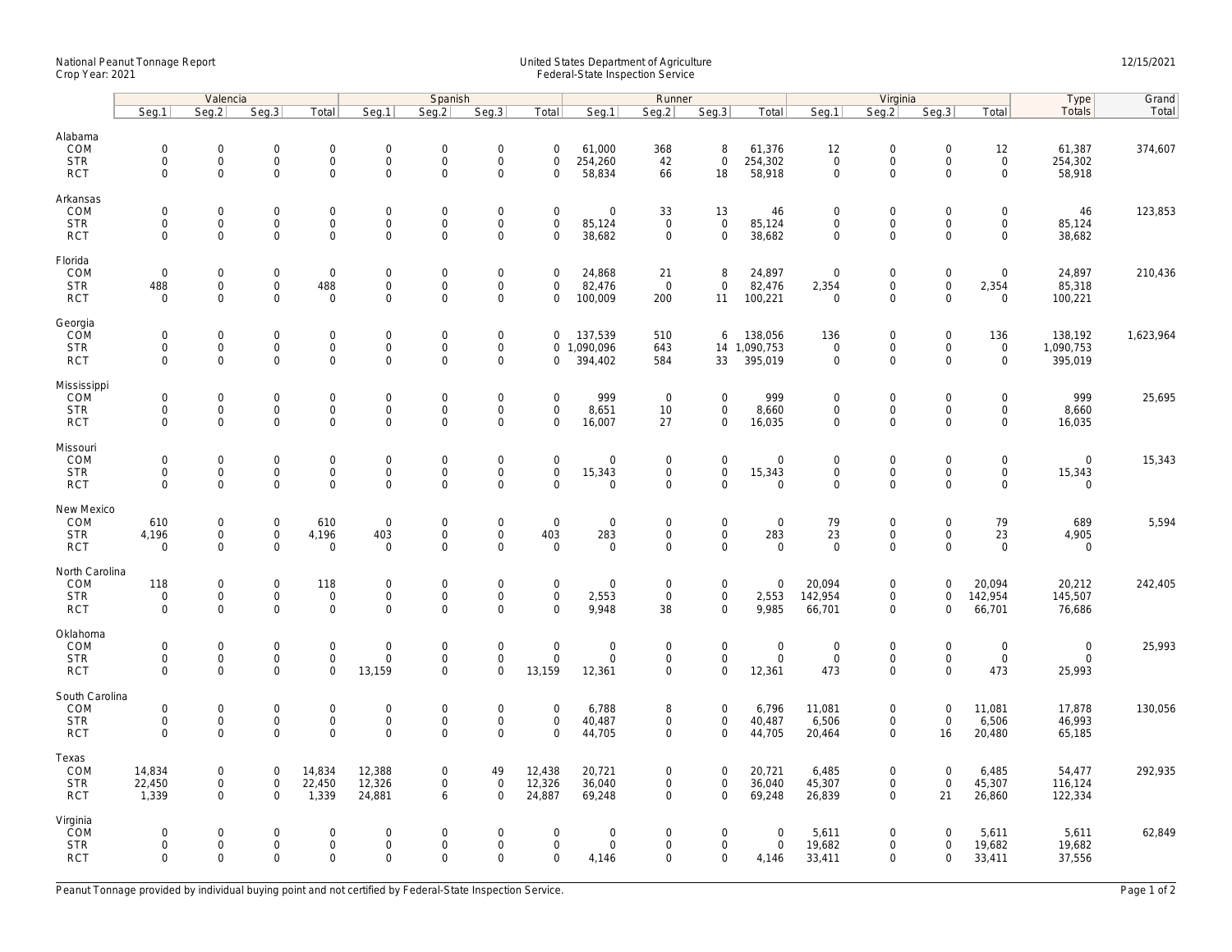## National Peanut Tonnage Report United States Department of Agriculture 12/15/2021<br>Crop Year: 2021 Federal-State Inspection Service

|                                                    | Valencia                                  |                                                                   |                                                   |                                                           | Spanish                                         |                                           |                                                           |                                                |                                                     | Runner                                    |                                                   |                                           |                                                   | Virginia                                                  |                                           | Type                                           | Grand                                |           |
|----------------------------------------------------|-------------------------------------------|-------------------------------------------------------------------|---------------------------------------------------|-----------------------------------------------------------|-------------------------------------------------|-------------------------------------------|-----------------------------------------------------------|------------------------------------------------|-----------------------------------------------------|-------------------------------------------|---------------------------------------------------|-------------------------------------------|---------------------------------------------------|-----------------------------------------------------------|-------------------------------------------|------------------------------------------------|--------------------------------------|-----------|
|                                                    | Seq.1                                     | Seg.2                                                             | Seq.3                                             | Total                                                     | Seg.1                                           | Seg.2                                     | Seq.3                                                     | Total                                          | Seg.1                                               | Seg.2                                     | Seq.3                                             | Total                                     | Seg.1                                             | Seq.2                                                     | Seq.3                                     | Total                                          | Totals                               | Total     |
| Alabama<br>COM<br><b>STR</b><br><b>RCT</b>         | $\mathbf 0$<br>$\mathbf 0$<br>$\mathbf 0$ | $\mathsf{O}\xspace$<br>0<br>$\mathbf 0$                           | $\mathbf 0$<br>$\mathbf 0$<br>$\mathbf 0$         | $\mathsf{O}\xspace$<br>$\mathbf 0$<br>$\mathbf 0$         | $\mathbf 0$<br>$\mathsf{O}$<br>$\mathsf{O}$     | $\mathbf 0$<br>$\mathbf 0$<br>$\mathbf 0$ | $\mathsf{O}\xspace$<br>$\mathsf 0$<br>$\mathsf 0$         | $\mathsf 0$<br>$\mathbf 0$<br>$\mathbf 0$      | 61,000<br>254,260<br>58,834                         | 368<br>42<br>66                           | 8<br>$\mathbf 0$<br>18                            | 61,376<br>254,302<br>58,918               | 12<br>$\mathbf 0$<br>$\mathbf 0$                  | $\mathbf 0$<br>$\mathsf{O}$<br>$\mathsf{O}\xspace$        | $\mathsf 0$<br>$\mathbf 0$<br>$\mathbf 0$ | 12<br>$\mathbf 0$<br>$\mathsf{O}$              | 61,387<br>254,302<br>58,918          | 374,607   |
| Arkansas<br>COM<br><b>STR</b><br><b>RCT</b>        | $\mathbf 0$<br>$\mathbf 0$<br>$\Omega$    | $\mathbf 0$<br>$\mathbf 0$<br>$\mathbf 0$                         | $\mathbf 0$<br>$\mathbf 0$<br>$\mathbf 0$         | $\mathsf{O}\xspace$<br>$\mathbf 0$<br>$\mathbf 0$         | $\mathbf 0$<br>$\mathsf{O}$<br>$\mathbf 0$      | $\mathbf 0$<br>$\mathbf 0$<br>$\mathbf 0$ | $\mathbf 0$<br>$\mathsf 0$<br>$\mathbf 0$                 | $\mathbf 0$<br>$\mathbf 0$<br>$\Omega$         | $\mathbf 0$<br>85,124<br>38,682                     | 33<br>$\mathbf 0$<br>$\mathbf 0$          | 13<br>$\mathsf 0$<br>$\mathbf 0$                  | 46<br>85,124<br>38,682                    | $\mathbf 0$<br>$\mathbf 0$<br>$\mathbf 0$         | $\mathbf 0$<br>$\mathsf{O}$<br>$\mathbf 0$                | $\mathbf 0$<br>$\mathbf 0$<br>$\Omega$    | $\mathbf 0$<br>$\mathsf{O}$<br>$\mathbf 0$     | 46<br>85,124<br>38,682               | 123,853   |
| Florida<br>COM<br><b>STR</b><br><b>RCT</b>         | $\mathbf 0$<br>488<br>$\mathbf 0$         | $\mathbf{0}$<br>$\mathsf{O}\xspace$<br>$\mathbf 0$                | $\mathbf 0$<br>$\mathbf 0$<br>$\mathbf 0$         | $\overline{0}$<br>488<br>$\mathbf 0$                      | $\boldsymbol{0}$<br>$\mathbf 0$<br>$\mathsf{O}$ | $\mathbf 0$<br>$\mathsf 0$<br>$\mathbf 0$ | $\mathsf{O}\xspace$<br>$\mathsf{O}\xspace$<br>$\mathbf 0$ | $\mathbf 0$<br>$\mathbf 0$<br>$\mathbf 0$      | 24,868<br>82,476<br>100,009                         | 21<br>$\overline{0}$<br>200               | 8<br>$\mathbf 0$<br>11                            | 24,897<br>82,476<br>100,221               | $\mathbf 0$<br>2,354<br>$\mathbf 0$               | $\mathsf{O}\xspace$<br>$\mathsf{O}\xspace$<br>$\mathbf 0$ | $\mathbf 0$<br>$\mathsf 0$<br>$\mathbf 0$ | $\mathbf 0$<br>2,354<br>$\mathbf 0$            | 24,897<br>85,318<br>100,221          | 210,436   |
| Georgia<br>COM<br><b>STR</b><br><b>RCT</b>         | $\mathbf 0$<br>$\mathbf 0$<br>$\mathbf 0$ | $\mathbf 0$<br>$\mathsf{O}\xspace$<br>$\mathbf{0}$                | $\mathbf 0$<br>$\mathbf 0$<br>$\mathbf 0$         | $\mathbf 0$<br>$\mathsf{O}\xspace$<br>0                   | $\mathsf{O}$<br>$\mathsf{O}$<br>$\mathbf 0$     | $\mathbf 0$<br>$\mathbf 0$<br>$\mathbf 0$ | $\mathsf{O}\xspace$<br>$\mathsf{O}\xspace$<br>$\mathbf 0$ | $\mathbf 0$<br>$\mathbf 0$                     | 137,539<br>0 1,090,096<br>394,402                   | 510<br>643<br>584                         | 6<br>33                                           | 138,056<br>14 1,090,753<br>395,019        | 136<br>$\overline{0}$<br>$\mathbf 0$              | $\mathsf{O}\xspace$<br>$\mathsf{O}\xspace$<br>$\mathbf 0$ | $\mathsf 0$<br>$\mathbf 0$<br>$\mathbf 0$ | 136<br>$\mathsf{O}\xspace$<br>$\mathbf 0$      | 138,192<br>1,090,753<br>395,019      | 1,623,964 |
| Mississippi<br>COM<br><b>STR</b><br><b>RCT</b>     | $\mathbf 0$<br>$\mathbf 0$<br>$\Omega$    | $\mathsf{O}\xspace$<br>$\mathsf{O}\xspace$<br>$\Omega$            | $\mathbf 0$<br>0<br>$\mathbf 0$                   | $\mathsf{O}\xspace$<br>$\mathbf 0$<br>0                   | $\mathbf 0$<br>$\mathbf 0$<br>$\mathsf 0$       | $\mathbf 0$<br>$\mathsf 0$<br>$\Omega$    | $\mathsf{O}\xspace$<br>$\mathsf 0$<br>$\mathsf{O}\xspace$ | $\mathsf 0$<br>$\mathsf 0$<br>$\Omega$         | 999<br>8,651<br>16,007                              | $\overline{0}$<br>10<br>27                | $\mathsf{O}\xspace$<br>$\mathbf 0$<br>$\mathbf 0$ | 999<br>8,660<br>16,035                    | $\mathbf 0$<br>$\mathsf{O}\xspace$<br>$\mathbf 0$ | $\mathbf 0$<br>$\mathsf{O}\xspace$<br>$\Omega$            | $\mathbf 0$<br>$\mathbf 0$<br>$\Omega$    | $\mathsf{O}\xspace$<br>$\mathbf 0$<br>$\Omega$ | 999<br>8,660<br>16,035               | 25,695    |
| Missouri<br>COM<br><b>STR</b><br><b>RCT</b>        | $\mathbf 0$<br>$\mathbf 0$<br>$\Omega$    | $\mathbf 0$<br>$\mathsf{O}\xspace$<br>$\mathbf 0$                 | $\mathbf 0$<br>$\mathbf 0$<br>$\mathbf 0$         | $\mathsf{O}\xspace$<br>$\mathbf 0$<br>$\mathbf{O}$        | $\mathbf 0$<br>$\mathsf{O}$<br>$\mathbf 0$      | $\mathbf 0$<br>$\mathsf 0$<br>$\mathbf 0$ | $\mathsf{O}\xspace$<br>$\mathsf 0$<br>$\mathbf 0$         | $\mathbf 0$<br>$\mathsf{O}\xspace$<br>$\Omega$ | $\mathbf 0$<br>15,343<br>$\mathbf 0$                | $\mathbf 0$<br>$\mathbf 0$<br>$\mathbf 0$ | $\overline{0}$<br>$\mathbf 0$<br>$\mathbf{0}$     | $\mathbf 0$<br>15,343<br>$\mathbf{0}$     | $\mathbf 0$<br>$\mathsf{O}\xspace$<br>$\mathbf 0$ | $\mathbf 0$<br>$\mathsf{O}$<br>$\mathbf 0$                | $\mathbf 0$<br>$\mathbf 0$<br>$\mathbf 0$ | $\mathbf 0$<br>$\mathsf{O}$<br>$\mathbf 0$     | $\mathbf 0$<br>15,343<br>$\mathbf 0$ | 15,343    |
| New Mexico<br>COM<br><b>STR</b><br><b>RCT</b>      | 610<br>4,196<br>$\mathbf 0$               | $\mathbf 0$<br>$\mathsf{O}\xspace$<br>$\mathbf 0$                 | $\mathbf 0$<br>$\mathsf{O}\xspace$<br>0           | 610<br>4,196<br>$\mathsf{O}\xspace$                       | $\mathbf 0$<br>403<br>$\mathbf 0$               | $\mathbf 0$<br>$\mathsf 0$<br>$\mathbf 0$ | $\boldsymbol{0}$<br>$\mathsf{O}\xspace$<br>$\mathbf 0$    | $\mathbf 0$<br>403<br>$\mathsf 0$              | $\mathbf 0$<br>283<br>$\mathsf{O}\xspace$           | 0<br>$\mathbf 0$<br>0                     | $\mathbf 0$<br>$\mathbf 0$<br>$\mathbf 0$         | $\mathbf 0$<br>283<br>$\mathbf 0$         | 79<br>23<br>$\mathbf 0$                           | $\mathbf 0$<br>$\mathsf{O}\xspace$<br>$\mathbf 0$         | $\mathbf 0$<br>0<br>$\mathbf 0$           | 79<br>23<br>$\mathsf{O}\xspace$                | 689<br>4,905<br>$\mathbf 0$          | 5,594     |
| North Carolina<br>COM<br><b>STR</b><br><b>RCT</b>  | 118<br>$\mathbf 0$<br>$\mathbf 0$         | $\mathsf{O}\xspace$<br>$\mathsf{O}\xspace$<br>$\mathsf{O}\xspace$ | $\mathbf 0$<br>$\mathbf 0$<br>0                   | 118<br>$\mathsf 0$<br>$\mathbf 0$                         | $\mathbf 0$<br>$\mathsf{O}$<br>$\mathbf 0$      | $\mathbf 0$<br>$\mathbf 0$<br>$\mathbf 0$ | $\mathsf{O}\xspace$<br>$\mathsf 0$<br>$\mathbf 0$         | $\mathsf 0$<br>$\mathbf 0$<br>$\mathbf 0$      | $\mathsf{O}\xspace$<br>2,553<br>9,948               | $\mathbf 0$<br>$\mathbf 0$<br>38          | $\mathsf{O}\xspace$<br>$\mathbf 0$<br>$\mathbf 0$ | $\mathbf 0$<br>2,553<br>9,985             | 20,094<br>142,954<br>66,701                       | $\mathsf{O}\xspace$<br>$\mathbf 0$<br>$\mathbf 0$         | $\Omega$<br>$\mathbf 0$<br>$\Omega$       | 20,094<br>142,954<br>66,701                    | 20,212<br>145,507<br>76,686          | 242,405   |
| Oklahoma<br>COM<br><b>STR</b><br><b>RCT</b>        | $\mathbf 0$<br>$\mathbf 0$<br>$\Omega$    | $\mathsf{O}\xspace$<br>$\mathsf{O}$<br>$\mathbf 0$                | $\mathsf{O}\xspace$<br>$\mathsf 0$<br>$\mathbf 0$ | $\mathsf{O}\xspace$<br>$\mathbf 0$<br>$\mathbf 0$         | $\boldsymbol{0}$<br>$\mathbf 0$<br>13,159       | $\mathbf 0$<br>$\mathsf 0$<br>$\Omega$    | $\mathsf{O}\xspace$<br>$\mathsf 0$<br>$\mathbf 0$         | $\mathbf 0$<br>$\mathbf 0$<br>13,159           | $\mathsf{O}\xspace$<br>$\mathbf 0$<br>12,361        | $\mathbf 0$<br>$\mathbf 0$<br>$\mathbf 0$ | $\mathsf{O}\xspace$<br>$\mathbf 0$<br>$\mathbf 0$ | $\boldsymbol{0}$<br>$\mathbf 0$<br>12,361 | $\mathbf 0$<br>$\mathbf 0$<br>473                 | $\mathsf{O}\xspace$<br>$\mathsf{O}\xspace$<br>$\mathbf 0$ | $\mathbf 0$<br>$\mathbf 0$<br>$\Omega$    | $\mathsf{O}\xspace$<br>$\mathbf 0$<br>473      | $\mathbf 0$<br>$\mathbf 0$<br>25,993 | 25,993    |
| South Carolina<br>COM<br><b>STR</b><br><b>RCT</b>  | $\mathbf 0$<br>$\mathbf 0$<br>$\mathbf 0$ | 0<br>$\mathsf{O}\xspace$<br>$\mathbf 0$                           | $\mathbf 0$<br>$\mathsf 0$<br>$\mathbf 0$         | $\mathsf{O}\xspace$<br>$\mathbf 0$<br>$\mathbf{O}$        | $\mathbf 0$<br>$\mathsf{O}$<br>$\mathbf 0$      | $\mathbf 0$<br>$\mathsf 0$<br>$\mathbf 0$ | $\mathsf{O}\xspace$<br>$\mathsf 0$<br>$\mathbf 0$         | $\mathbf 0$<br>$\mathsf 0$<br>$\Omega$         | 6,788<br>40,487<br>44,705                           | 8<br>$\mathbf 0$<br>$\mathbf 0$           | $\mathsf{O}\xspace$<br>$\mathbf 0$<br>$\mathbf 0$ | 6,796<br>40,487<br>44,705                 | 11,081<br>6,506<br>20,464                         | $\mathsf{O}\xspace$<br>$\mathsf{O}\xspace$<br>$\mathbf 0$ | $\mathbf 0$<br>$\mathsf 0$<br>16          | 11,081<br>6,506<br>20,480                      | 17,878<br>46,993<br>65,185           | 130,056   |
| Texas<br>COM<br><b>STR</b><br><b>RCT</b>           | 14,834<br>22,450<br>1,339                 | $\mathsf{O}\xspace$<br>$\mathbf 0$<br>$\mathbf{0}$                | $\mathbf 0$<br>$\mathbf 0$<br>$\mathbf 0$         | 14,834<br>22,450<br>1,339                                 | 12,388<br>12,326<br>24,881                      | $\mathbf 0$<br>$\mathbf 0$<br>6           | 49<br>$\mathbf 0$<br>$\mathbf 0$                          | 12,438<br>12,326<br>24,887                     | 20,721<br>36,040<br>69,248                          | 0<br>$\mathbf 0$<br>$\mathbf 0$           | $\mathbf 0$<br>$\mathbf 0$<br>$\mathbf{0}$        | 20,721<br>36,040<br>69,248                | 6,485<br>45,307<br>26,839                         | $\mathsf{O}\xspace$<br>$\mathbf 0$<br>$\mathbf 0$         | $\mathbf 0$<br>$\mathbf 0$<br>21          | 6,485<br>45,307<br>26,860                      | 54,477<br>116,124<br>122,334         | 292,935   |
| Virginia<br><b>COM</b><br><b>STR</b><br><b>RCT</b> | $\mathbf 0$<br>$\mathbf 0$<br>$\Omega$    | $\mathsf{O}\xspace$<br>$\mathsf{O}\xspace$<br>$\Omega$            | $\mathbf 0$<br>$\mathbf 0$<br>$\Omega$            | $\mathsf{O}\xspace$<br>$\mathsf{O}\xspace$<br>$\mathbf 0$ | $\mathbf 0$<br>$\mathbf 0$<br>$\Omega$          | $\mathbf 0$<br>$\mathbf 0$<br>$\Omega$    | $\mathsf{O}\xspace$<br>$\mathsf{O}\xspace$<br>$\Omega$    | $\mathbf 0$<br>$\mathbf 0$<br>$\Omega$         | $\mathsf{O}\xspace$<br>$\mathsf{O}\xspace$<br>4,146 | 0<br>0<br>$\Omega$                        | $\mathbf 0$<br>$\mathbf 0$<br>$\mathbf 0$         | $\mathbf 0$<br>$\mathbf 0$<br>4,146       | 5,611<br>19,682<br>33,411                         | $\mathsf{O}\xspace$<br>$\mathsf{O}\xspace$<br>$\Omega$    | $\mathbf 0$<br>$\mathbf 0$<br>$\Omega$    | 5,611<br>19,682<br>33,411                      | 5,611<br>19,682<br>37,556            | 62,849    |

Peanut Tonnage provided by individual buying point and not certified by Federal-State Inspection Service. Page 1 of 2